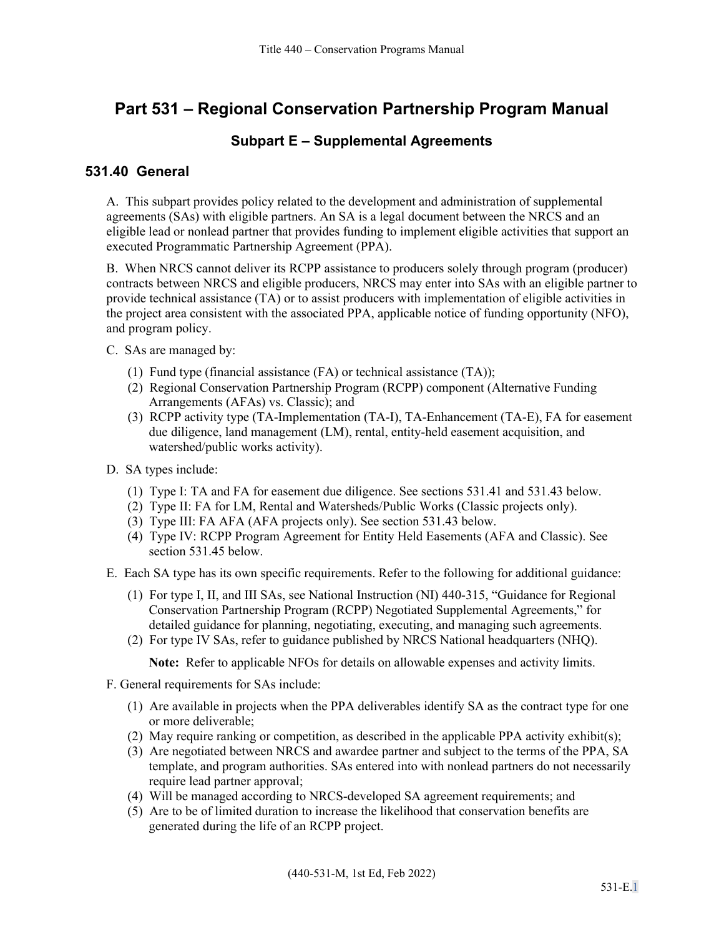# **Part 531 – Regional Conservation Partnership Program Manual**

#### **Subpart E – Supplemental Agreements**

#### **531.40 General**

A. This subpart provides policy related to the development and administration of supplemental agreements (SAs) with eligible partners. An SA is a legal document between the NRCS and an eligible lead or nonlead partner that provides funding to implement eligible activities that support an executed Programmatic Partnership Agreement (PPA).

B. When NRCS cannot deliver its RCPP assistance to producers solely through program (producer) contracts between NRCS and eligible producers, NRCS may enter into SAs with an eligible partner to provide technical assistance (TA) or to assist producers with implementation of eligible activities in the project area consistent with the associated PPA, applicable notice of funding opportunity (NFO), and program policy.

- C. SAs are managed by:
	- (1) Fund type (financial assistance (FA) or technical assistance (TA));
	- (2) Regional Conservation Partnership Program (RCPP) component (Alternative Funding Arrangements (AFAs) vs. Classic); and
	- (3) RCPP activity type (TA-Implementation (TA-I), TA-Enhancement (TA-E), FA for easement due diligence, land management (LM), rental, entity-held easement acquisition, and watershed/public works activity).
- D. SA types include:
	- (1) Type I: TA and FA for easement due diligence. See sections 531.41 and 531.43 below.
	- (2) Type II: FA for LM, Rental and Watersheds/Public Works (Classic projects only).
	- (3) Type III: FA AFA (AFA projects only). See section 531.43 below.
	- (4) Type IV: RCPP Program Agreement for Entity Held Easements (AFA and Classic). See section 531.45 below.
- E. Each SA type has its own specific requirements. Refer to the following for additional guidance:
	- (1) For type I, II, and III SAs, see National Instruction (NI) 440-315, "Guidance for Regional Conservation Partnership Program (RCPP) Negotiated Supplemental Agreements," for detailed guidance for planning, negotiating, executing, and managing such agreements.
	- (2) For type IV SAs, refer to guidance published by NRCS National headquarters (NHQ).

**Note:** Refer to applicable NFOs for details on allowable expenses and activity limits.

- F. General requirements for SAs include:
	- (1) Are available in projects when the PPA deliverables identify SA as the contract type for one or more deliverable;
	- (2) May require ranking or competition, as described in the applicable PPA activity exhibit(s);
	- (3) Are negotiated between NRCS and awardee partner and subject to the terms of the PPA, SA template, and program authorities. SAs entered into with nonlead partners do not necessarily require lead partner approval;
	- (4) Will be managed according to NRCS-developed SA agreement requirements; and
	- (5) Are to be of limited duration to increase the likelihood that conservation benefits are generated during the life of an RCPP project.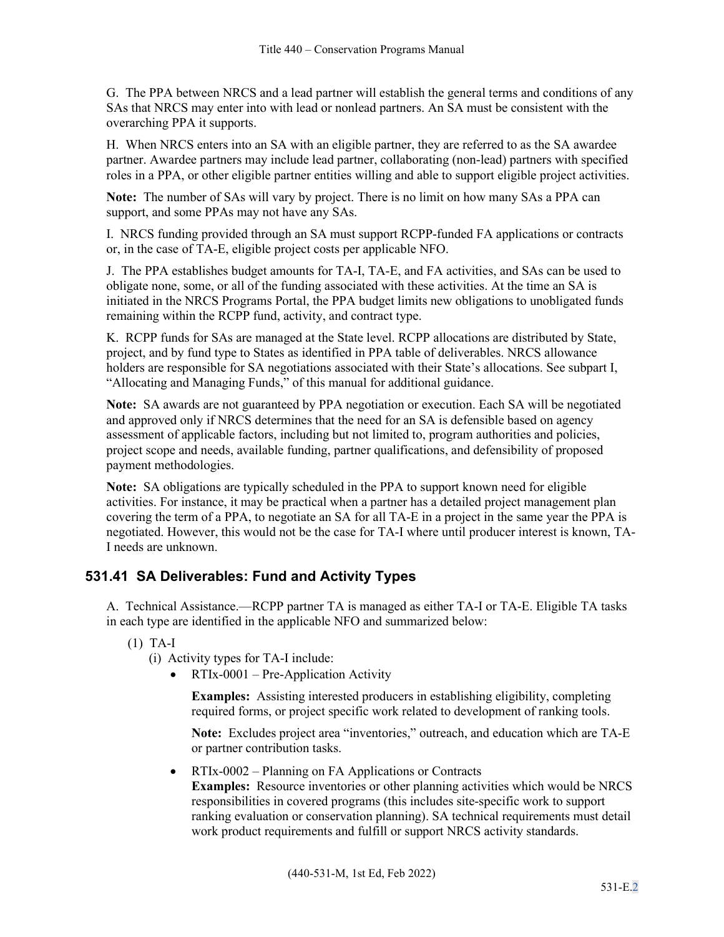G. The PPA between NRCS and a lead partner will establish the general terms and conditions of any SAs that NRCS may enter into with lead or nonlead partners. An SA must be consistent with the overarching PPA it supports.

H. When NRCS enters into an SA with an eligible partner, they are referred to as the SA awardee partner. Awardee partners may include lead partner, collaborating (non-lead) partners with specified roles in a PPA, or other eligible partner entities willing and able to support eligible project activities.

**Note:** The number of SAs will vary by project. There is no limit on how many SAs a PPA can support, and some PPAs may not have any SAs.

I. NRCS funding provided through an SA must support RCPP-funded FA applications or contracts or, in the case of TA-E, eligible project costs per applicable NFO.

J. The PPA establishes budget amounts for TA-I, TA-E, and FA activities, and SAs can be used to obligate none, some, or all of the funding associated with these activities. At the time an SA is initiated in the NRCS Programs Portal, the PPA budget limits new obligations to unobligated funds remaining within the RCPP fund, activity, and contract type.

K. RCPP funds for SAs are managed at the State level. RCPP allocations are distributed by State, project, and by fund type to States as identified in PPA table of deliverables. NRCS allowance holders are responsible for SA negotiations associated with their State's allocations. See subpart I, "Allocating and Managing Funds," of this manual for additional guidance.

**Note:** SA awards are not guaranteed by PPA negotiation or execution. Each SA will be negotiated and approved only if NRCS determines that the need for an SA is defensible based on agency assessment of applicable factors, including but not limited to, program authorities and policies, project scope and needs, available funding, partner qualifications, and defensibility of proposed payment methodologies.

**Note:** SA obligations are typically scheduled in the PPA to support known need for eligible activities. For instance, it may be practical when a partner has a detailed project management plan covering the term of a PPA, to negotiate an SA for all TA-E in a project in the same year the PPA is negotiated. However, this would not be the case for TA-I where until producer interest is known, TA-I needs are unknown.

## **531.41 SA Deliverables: Fund and Activity Types**

A. Technical Assistance.—RCPP partner TA is managed as either TA-I or TA-E. Eligible TA tasks in each type are identified in the applicable NFO and summarized below:

(1) TA-I

(i) Activity types for TA-I include:

• RTIx-0001 – Pre-Application Activity

**Examples:** Assisting interested producers in establishing eligibility, completing required forms, or project specific work related to development of ranking tools.

**Note:** Excludes project area "inventories," outreach, and education which are TA-E or partner contribution tasks.

• RTIx-0002 – Planning on FA Applications or Contracts

**Examples:** Resource inventories or other planning activities which would be NRCS responsibilities in covered programs (this includes site-specific work to support ranking evaluation or conservation planning). SA technical requirements must detail work product requirements and fulfill or support NRCS activity standards.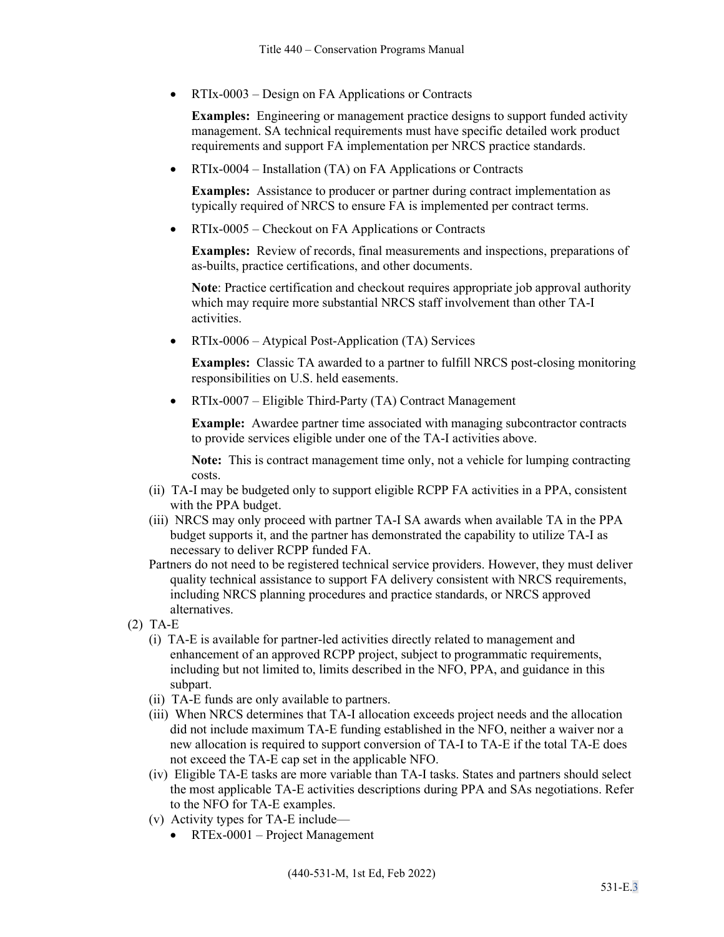• RTIx-0003 – Design on FA Applications or Contracts

**Examples:** Engineering or management practice designs to support funded activity management. SA technical requirements must have specific detailed work product requirements and support FA implementation per NRCS practice standards.

• RTIx-0004 – Installation (TA) on FA Applications or Contracts

**Examples:** Assistance to producer or partner during contract implementation as typically required of NRCS to ensure FA is implemented per contract terms.

• RTIx-0005 – Checkout on FA Applications or Contracts

**Examples:** Review of records, final measurements and inspections, preparations of as-builts, practice certifications, and other documents.

**Note**: Practice certification and checkout requires appropriate job approval authority which may require more substantial NRCS staff involvement than other TA-I activities.

• RTIx-0006 – Atypical Post-Application (TA) Services

**Examples:** Classic TA awarded to a partner to fulfill NRCS post-closing monitoring responsibilities on U.S. held easements.

• RTIx-0007 – Eligible Third-Party (TA) Contract Management

**Example:** Awardee partner time associated with managing subcontractor contracts to provide services eligible under one of the TA-I activities above.

**Note:** This is contract management time only, not a vehicle for lumping contracting costs.

- (ii) TA-I may be budgeted only to support eligible RCPP FA activities in a PPA, consistent with the PPA budget.
- (iii) NRCS may only proceed with partner TA-I SA awards when available TA in the PPA budget supports it, and the partner has demonstrated the capability to utilize TA-I as necessary to deliver RCPP funded FA.
- Partners do not need to be registered technical service providers. However, they must deliver quality technical assistance to support FA delivery consistent with NRCS requirements, including NRCS planning procedures and practice standards, or NRCS approved alternatives.
- (2) TA-E
	- (i) TA-E is available for partner-led activities directly related to management and enhancement of an approved RCPP project, subject to programmatic requirements, including but not limited to, limits described in the NFO, PPA, and guidance in this subpart.
	- (ii) TA-E funds are only available to partners.
	- (iii) When NRCS determines that TA-I allocation exceeds project needs and the allocation did not include maximum TA-E funding established in the NFO, neither a waiver nor a new allocation is required to support conversion of TA-I to TA-E if the total TA-E does not exceed the TA-E cap set in the applicable NFO.
	- (iv) Eligible TA-E tasks are more variable than TA-I tasks. States and partners should select the most applicable TA-E activities descriptions during PPA and SAs negotiations. Refer to the NFO for TA-E examples.
	- (v) Activity types for TA-E include—
		- RTEx-0001 Project Management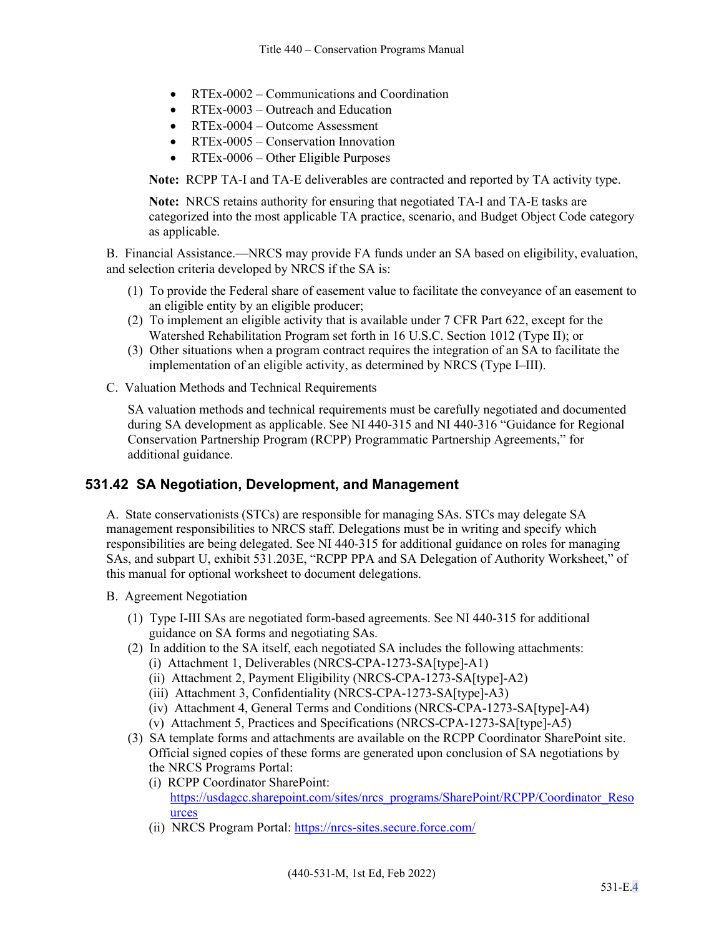- RTEx-0002 Communications and Coordination
- RTEx-0003 Outreach and Education
- RTEx-0004 Outcome Assessment
- RTEx-0005 Conservation Innovation
- RTEx-0006 Other Eligible Purposes

**Note:** RCPP TA-I and TA-E deliverables are contracted and reported by TA activity type.

**Note:** NRCS retains authority for ensuring that negotiated TA-I and TA-E tasks are categorized into the most applicable TA practice, scenario, and Budget Object Code category as applicable.

B. Financial Assistance.—NRCS may provide FA funds under an SA based on eligibility, evaluation, and selection criteria developed by NRCS if the SA is:

- (1) To provide the Federal share of easement value to facilitate the conveyance of an easement to an eligible entity by an eligible producer;
- (2) To implement an eligible activity that is available under 7 CFR Part 622, except for the Watershed Rehabilitation Program set forth in 16 U.S.C. Section 1012 (Type II); or
- (3) Other situations when a program contract requires the integration of an SA to facilitate the implementation of an eligible activity, as determined by NRCS (Type I–III).
- C. Valuation Methods and Technical Requirements

SA valuation methods and technical requirements must be carefully negotiated and documented during SA development as applicable. See NI 440-315 and NI 440-316 "Guidance for Regional Conservation Partnership Program (RCPP) Programmatic Partnership Agreements," for additional guidance.

### **531.42 SA Negotiation, Development, and Management**

A. State conservationists (STCs) are responsible for managing SAs. STCs may delegate SA management responsibilities to NRCS staff. Delegations must be in writing and specify which responsibilities are being delegated. See NI 440-315 for additional guidance on roles for managing SAs, and subpart U, exhibit 531.203E, "RCPP PPA and SA Delegation of Authority Worksheet," of this manual for optional worksheet to document delegations.

B. Agreement Negotiation

- (1) Type I-III SAs are negotiated form-based agreements. See NI 440-315 for additional guidance on SA forms and negotiating SAs.
- (2) In addition to the SA itself, each negotiated SA includes the following attachments:
	- (i) Attachment 1, Deliverables (NRCS-CPA-1273-SA[type]-A1)
	- (ii) Attachment 2, Payment Eligibility (NRCS-CPA-1273-SA[type]-A2)
	- (iii) Attachment 3, Confidentiality (NRCS-CPA-1273-SA[type]-A3)
	- (iv) Attachment 4, General Terms and Conditions (NRCS-CPA-1273-SA[type]-A4)
	- (v) Attachment 5, Practices and Specifications (NRCS-CPA-1273-SA[type]-A5)
- (3) SA template forms and attachments are available on the RCPP Coordinator SharePoint site. Official signed copies of these forms are generated upon conclusion of SA negotiations by the NRCS Programs Portal:
	- (i) RCPP Coordinator SharePoint: [https://usdagcc.sharepoint.com/sites/nrcs\\_programs/SharePoint/RCPP/Coordinator\\_Reso](https://usdagcc.sharepoint.com/sites/nrcs_programs/SharePoint/RCPP/Coordinator_Resources) [urces](https://usdagcc.sharepoint.com/sites/nrcs_programs/SharePoint/RCPP/Coordinator_Resources)
	- (ii) NRCS Program Portal: https://nrcs-sites.secure.force.com/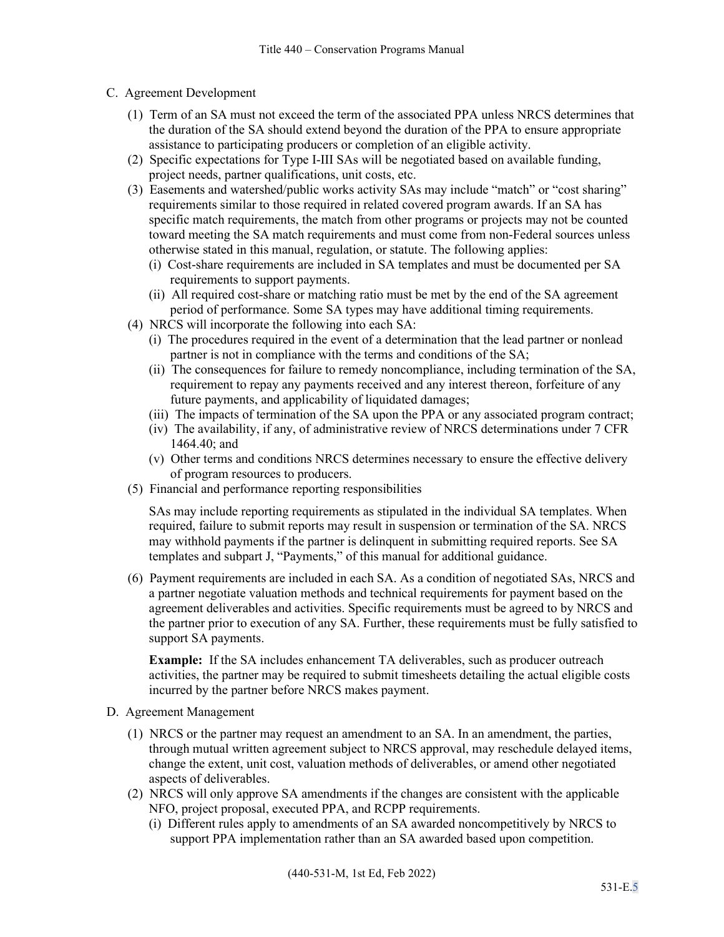- C. Agreement Development
	- (1) Term of an SA must not exceed the term of the associated PPA unless NRCS determines that the duration of the SA should extend beyond the duration of the PPA to ensure appropriate assistance to participating producers or completion of an eligible activity.
	- (2) Specific expectations for Type I-III SAs will be negotiated based on available funding, project needs, partner qualifications, unit costs, etc.
	- (3) Easements and watershed/public works activity SAs may include "match" or "cost sharing" requirements similar to those required in related covered program awards. If an SA has specific match requirements, the match from other programs or projects may not be counted toward meeting the SA match requirements and must come from non-Federal sources unless otherwise stated in this manual, regulation, or statute. The following applies:
		- (i) Cost-share requirements are included in SA templates and must be documented per SA requirements to support payments.
		- (ii) All required cost-share or matching ratio must be met by the end of the SA agreement period of performance. Some SA types may have additional timing requirements.
	- (4) NRCS will incorporate the following into each SA:
		- (i) The procedures required in the event of a determination that the lead partner or nonlead partner is not in compliance with the terms and conditions of the SA;
		- (ii) The consequences for failure to remedy noncompliance, including termination of the SA, requirement to repay any payments received and any interest thereon, forfeiture of any future payments, and applicability of liquidated damages;
		- (iii) The impacts of termination of the SA upon the PPA or any associated program contract;
		- (iv) The availability, if any, of administrative review of NRCS determinations under 7 CFR 1464.40; and
		- (v) Other terms and conditions NRCS determines necessary to ensure the effective delivery of program resources to producers.
	- (5) Financial and performance reporting responsibilities

SAs may include reporting requirements as stipulated in the individual SA templates. When required, failure to submit reports may result in suspension or termination of the SA. NRCS may withhold payments if the partner is delinquent in submitting required reports. See SA templates and subpart J, "Payments," of this manual for additional guidance.

(6) Payment requirements are included in each SA. As a condition of negotiated SAs, NRCS and a partner negotiate valuation methods and technical requirements for payment based on the agreement deliverables and activities. Specific requirements must be agreed to by NRCS and the partner prior to execution of any SA. Further, these requirements must be fully satisfied to support SA payments.

**Example:** If the SA includes enhancement TA deliverables, such as producer outreach activities, the partner may be required to submit timesheets detailing the actual eligible costs incurred by the partner before NRCS makes payment.

- D. Agreement Management
	- (1) NRCS or the partner may request an amendment to an SA. In an amendment, the parties, through mutual written agreement subject to NRCS approval, may reschedule delayed items, change the extent, unit cost, valuation methods of deliverables, or amend other negotiated aspects of deliverables.
	- (2) NRCS will only approve SA amendments if the changes are consistent with the applicable NFO, project proposal, executed PPA, and RCPP requirements.
		- (i) Different rules apply to amendments of an SA awarded noncompetitively by NRCS to support PPA implementation rather than an SA awarded based upon competition.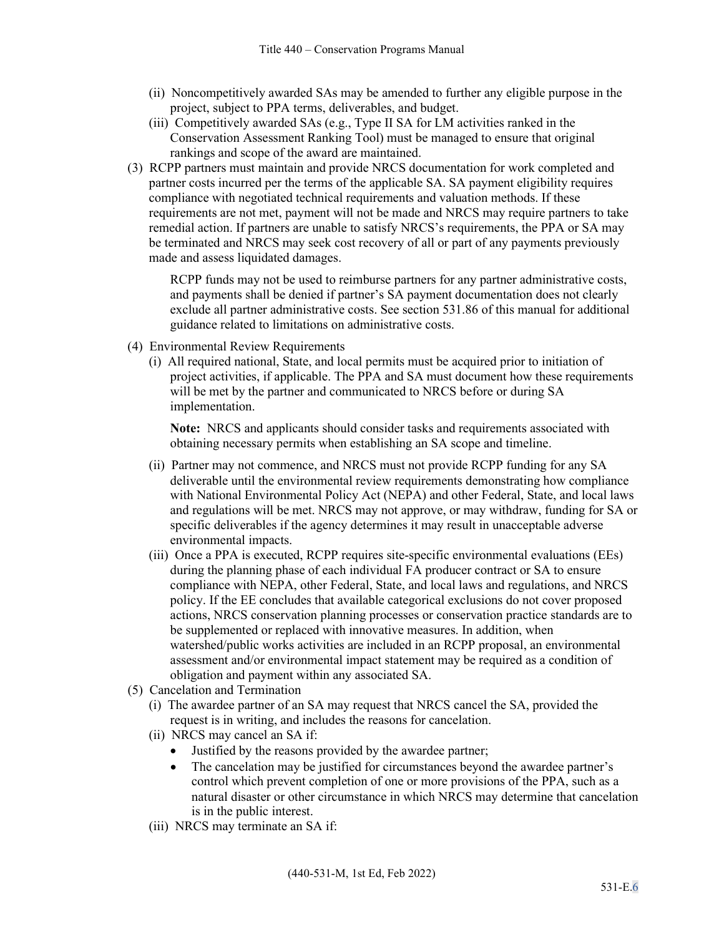- (ii) Noncompetitively awarded SAs may be amended to further any eligible purpose in the project, subject to PPA terms, deliverables, and budget.
- (iii) Competitively awarded SAs (e.g., Type II SA for LM activities ranked in the Conservation Assessment Ranking Tool) must be managed to ensure that original rankings and scope of the award are maintained.
- (3) RCPP partners must maintain and provide NRCS documentation for work completed and partner costs incurred per the terms of the applicable SA. SA payment eligibility requires compliance with negotiated technical requirements and valuation methods. If these requirements are not met, payment will not be made and NRCS may require partners to take remedial action. If partners are unable to satisfy NRCS's requirements, the PPA or SA may be terminated and NRCS may seek cost recovery of all or part of any payments previously made and assess liquidated damages.

RCPP funds may not be used to reimburse partners for any partner administrative costs, and payments shall be denied if partner's SA payment documentation does not clearly exclude all partner administrative costs. See section 531.86 of this manual for additional guidance related to limitations on administrative costs.

- (4) Environmental Review Requirements
	- (i) All required national, State, and local permits must be acquired prior to initiation of project activities, if applicable. The PPA and SA must document how these requirements will be met by the partner and communicated to NRCS before or during SA implementation.

**Note:** NRCS and applicants should consider tasks and requirements associated with obtaining necessary permits when establishing an SA scope and timeline.

- (ii) Partner may not commence, and NRCS must not provide RCPP funding for any SA deliverable until the environmental review requirements demonstrating how compliance with National Environmental Policy Act (NEPA) and other Federal, State, and local laws and regulations will be met. NRCS may not approve, or may withdraw, funding for SA or specific deliverables if the agency determines it may result in unacceptable adverse environmental impacts.
- (iii) Once a PPA is executed, RCPP requires site-specific environmental evaluations (EEs) during the planning phase of each individual FA producer contract or SA to ensure compliance with NEPA, other Federal, State, and local laws and regulations, and NRCS policy. If the EE concludes that available categorical exclusions do not cover proposed actions, NRCS conservation planning processes or conservation practice standards are to be supplemented or replaced with innovative measures. In addition, when watershed/public works activities are included in an RCPP proposal, an environmental assessment and/or environmental impact statement may be required as a condition of obligation and payment within any associated SA.
- (5) Cancelation and Termination
	- (i) The awardee partner of an SA may request that NRCS cancel the SA, provided the request is in writing, and includes the reasons for cancelation.
	- (ii) NRCS may cancel an SA if:
		- Justified by the reasons provided by the awardee partner;
		- The cancelation may be justified for circumstances beyond the awardee partner's control which prevent completion of one or more provisions of the PPA, such as a natural disaster or other circumstance in which NRCS may determine that cancelation is in the public interest.
	- (iii) NRCS may terminate an SA if: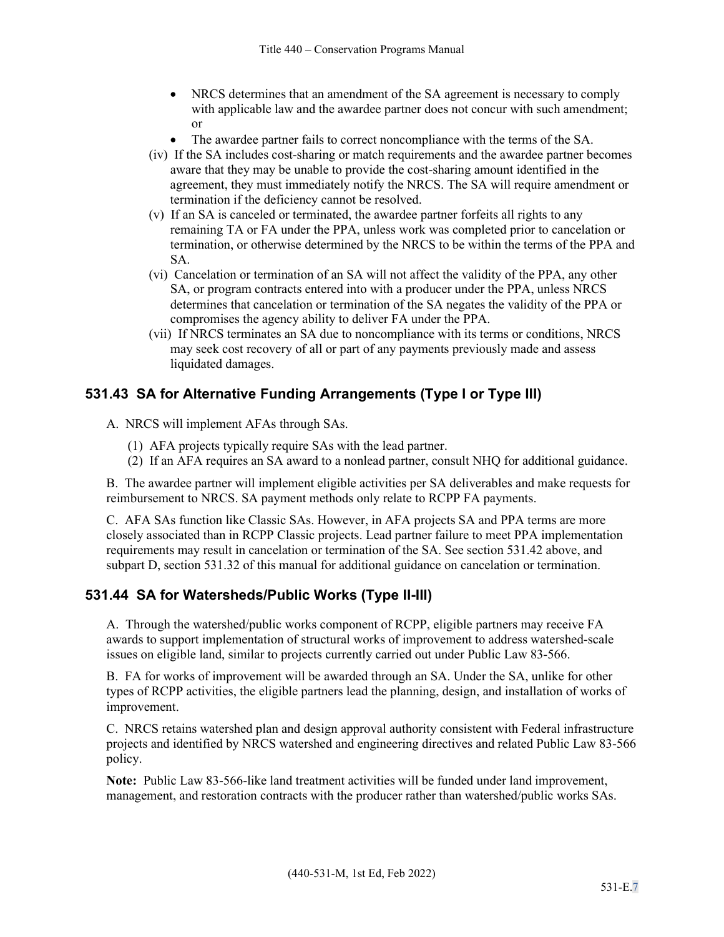- NRCS determines that an amendment of the SA agreement is necessary to comply with applicable law and the awardee partner does not concur with such amendment; or
- The awardee partner fails to correct noncompliance with the terms of the SA.
- (iv) If the SA includes cost-sharing or match requirements and the awardee partner becomes aware that they may be unable to provide the cost-sharing amount identified in the agreement, they must immediately notify the NRCS. The SA will require amendment or termination if the deficiency cannot be resolved.
- (v) If an SA is canceled or terminated, the awardee partner forfeits all rights to any remaining TA or FA under the PPA, unless work was completed prior to cancelation or termination, or otherwise determined by the NRCS to be within the terms of the PPA and SA.
- (vi) Cancelation or termination of an SA will not affect the validity of the PPA, any other SA, or program contracts entered into with a producer under the PPA, unless NRCS determines that cancelation or termination of the SA negates the validity of the PPA or compromises the agency ability to deliver FA under the PPA.
- (vii) If NRCS terminates an SA due to noncompliance with its terms or conditions, NRCS may seek cost recovery of all or part of any payments previously made and assess liquidated damages.

## **531.43 SA for Alternative Funding Arrangements (Type I or Type III)**

A. NRCS will implement AFAs through SAs.

- (1) AFA projects typically require SAs with the lead partner.
- (2) If an AFA requires an SA award to a nonlead partner, consult NHQ for additional guidance.

B. The awardee partner will implement eligible activities per SA deliverables and make requests for reimbursement to NRCS. SA payment methods only relate to RCPP FA payments.

C. AFA SAs function like Classic SAs. However, in AFA projects SA and PPA terms are more closely associated than in RCPP Classic projects. Lead partner failure to meet PPA implementation requirements may result in cancelation or termination of the SA. See section 531.42 above, and subpart D, section 531.32 of this manual for additional guidance on cancelation or termination.

## **531.44 SA for Watersheds/Public Works (Type II-III)**

A. Through the watershed/public works component of RCPP, eligible partners may receive FA awards to support implementation of structural works of improvement to address watershed-scale issues on eligible land, similar to projects currently carried out under Public Law 83-566.

B. FA for works of improvement will be awarded through an SA. Under the SA, unlike for other types of RCPP activities, the eligible partners lead the planning, design, and installation of works of improvement.

C. NRCS retains watershed plan and design approval authority consistent with Federal infrastructure projects and identified by NRCS watershed and engineering directives and related Public Law 83-566 policy.

**Note:** Public Law 83-566-like land treatment activities will be funded under land improvement, management, and restoration contracts with the producer rather than watershed/public works SAs.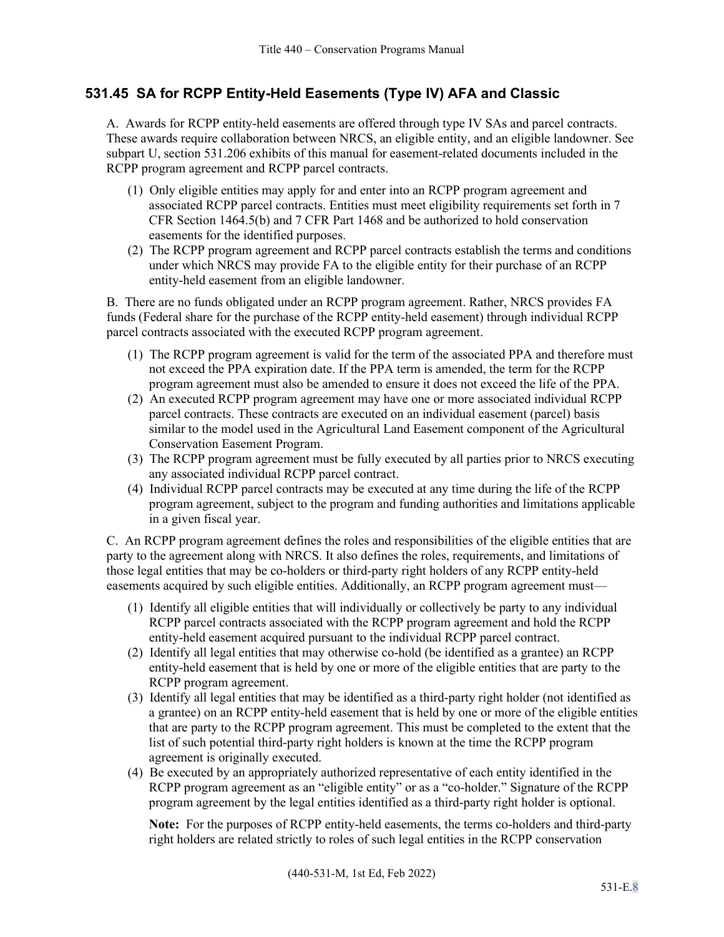## **531.45 SA for RCPP Entity-Held Easements (Type IV) AFA and Classic**

A. Awards for RCPP entity-held easements are offered through type IV SAs and parcel contracts. These awards require collaboration between NRCS, an eligible entity, and an eligible landowner. See subpart U, section 531.206 exhibits of this manual for easement-related documents included in the RCPP program agreement and RCPP parcel contracts.

- (1) Only eligible entities may apply for and enter into an RCPP program agreement and associated RCPP parcel contracts. Entities must meet eligibility requirements set forth in 7 CFR Section 1464.5(b) and 7 CFR Part 1468 and be authorized to hold conservation easements for the identified purposes.
- (2) The RCPP program agreement and RCPP parcel contracts establish the terms and conditions under which NRCS may provide FA to the eligible entity for their purchase of an RCPP entity-held easement from an eligible landowner.

B. There are no funds obligated under an RCPP program agreement. Rather, NRCS provides FA funds (Federal share for the purchase of the RCPP entity-held easement) through individual RCPP parcel contracts associated with the executed RCPP program agreement.

- (1) The RCPP program agreement is valid for the term of the associated PPA and therefore must not exceed the PPA expiration date. If the PPA term is amended, the term for the RCPP program agreement must also be amended to ensure it does not exceed the life of the PPA.
- (2) An executed RCPP program agreement may have one or more associated individual RCPP parcel contracts. These contracts are executed on an individual easement (parcel) basis similar to the model used in the Agricultural Land Easement component of the Agricultural Conservation Easement Program.
- (3) The RCPP program agreement must be fully executed by all parties prior to NRCS executing any associated individual RCPP parcel contract.
- (4) Individual RCPP parcel contracts may be executed at any time during the life of the RCPP program agreement, subject to the program and funding authorities and limitations applicable in a given fiscal year.

C. An RCPP program agreement defines the roles and responsibilities of the eligible entities that are party to the agreement along with NRCS. It also defines the roles, requirements, and limitations of those legal entities that may be co-holders or third-party right holders of any RCPP entity-held easements acquired by such eligible entities. Additionally, an RCPP program agreement must—

- (1) Identify all eligible entities that will individually or collectively be party to any individual RCPP parcel contracts associated with the RCPP program agreement and hold the RCPP entity-held easement acquired pursuant to the individual RCPP parcel contract.
- (2) Identify all legal entities that may otherwise co-hold (be identified as a grantee) an RCPP entity-held easement that is held by one or more of the eligible entities that are party to the RCPP program agreement.
- (3) Identify all legal entities that may be identified as a third-party right holder (not identified as a grantee) on an RCPP entity-held easement that is held by one or more of the eligible entities that are party to the RCPP program agreement. This must be completed to the extent that the list of such potential third-party right holders is known at the time the RCPP program agreement is originally executed.
- (4) Be executed by an appropriately authorized representative of each entity identified in the RCPP program agreement as an "eligible entity" or as a "co-holder." Signature of the RCPP program agreement by the legal entities identified as a third-party right holder is optional.

**Note:** For the purposes of RCPP entity-held easements, the terms co-holders and third-party right holders are related strictly to roles of such legal entities in the RCPP conservation